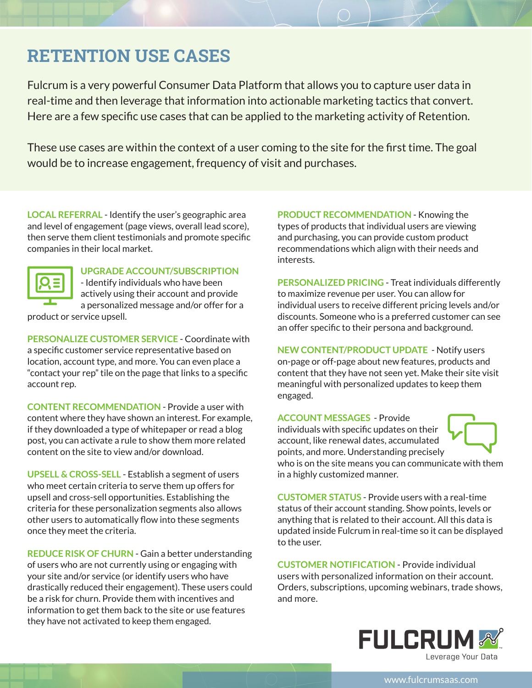## **RETENTION USE CASES**

Fulcrum is a very powerful Consumer Data Platform that allows you to capture user data in real-time and then leverage that information into actionable marketing tactics that convert. Here are a few specific use cases that can be applied to the marketing activity of Retention.

These use cases are within the context of a user coming to the site for the first time. The goal would be to increase engagement, frequency of visit and purchases.

**LOCAL REFERRAL** - Identify the user's geographic area and level of engagement (page views, overall lead score), then serve them client testimonials and promote specific companies in their local market.



## **UPGRADE ACCOUNT/SUBSCRIPTION**

- Identify individuals who have been actively using their account and provide a personalized message and/or offer for a

product or service upsell.

**PERSONALIZE CUSTOMER SERVICE** - Coordinate with a specific customer service representative based on location, account type, and more. You can even place a "contact your rep" tile on the page that links to a specific account rep.

**CONTENT RECOMMENDATION** - Provide a user with content where they have shown an interest. For example, if they downloaded a type of whitepaper or read a blog post, you can activate a rule to show them more related content on the site to view and/or download.

**UPSELL & CROSS-SELL** - Establish a segment of users who meet certain criteria to serve them up offers for upsell and cross-sell opportunities. Establishing the criteria for these personalization segments also allows other users to automatically flow into these segments once they meet the criteria.

**REDUCE RISK OF CHURN** - Gain a better understanding of users who are not currently using or engaging with your site and/or service (or identify users who have drastically reduced their engagement). These users could be a risk for churn. Provide them with incentives and information to get them back to the site or use features they have not activated to keep them engaged.

**PRODUCT RECOMMENDATION** - Knowing the types of products that individual users are viewing and purchasing, you can provide custom product recommendations which align with their needs and interests.

**PERSONALIZED PRICING** - Treat individuals differently to maximize revenue per user. You can allow for individual users to receive different pricing levels and/or discounts. Someone who is a preferred customer can see an offer specific to their persona and background.

**NEW CONTENT/PRODUCT UPDATE** - Notify users on-page or off-page about new features, products and content that they have not seen yet. Make their site visit meaningful with personalized updates to keep them engaged.

## **ACCOUNT MESSAGES** - Provide

individuals with specific updates on their account, like renewal dates, accumulated points, and more. Understanding precisely



who is on the site means you can communicate with them in a highly customized manner.

**CUSTOMER STATUS** - Provide users with a real-time status of their account standing. Show points, levels or anything that is related to their account. All this data is updated inside Fulcrum in real-time so it can be displayed to the user.

**CUSTOMER NOTIFICATION** - Provide individual users with personalized information on their account. Orders, subscriptions, upcoming webinars, trade shows, and more.



www.fulcrumsaas.com